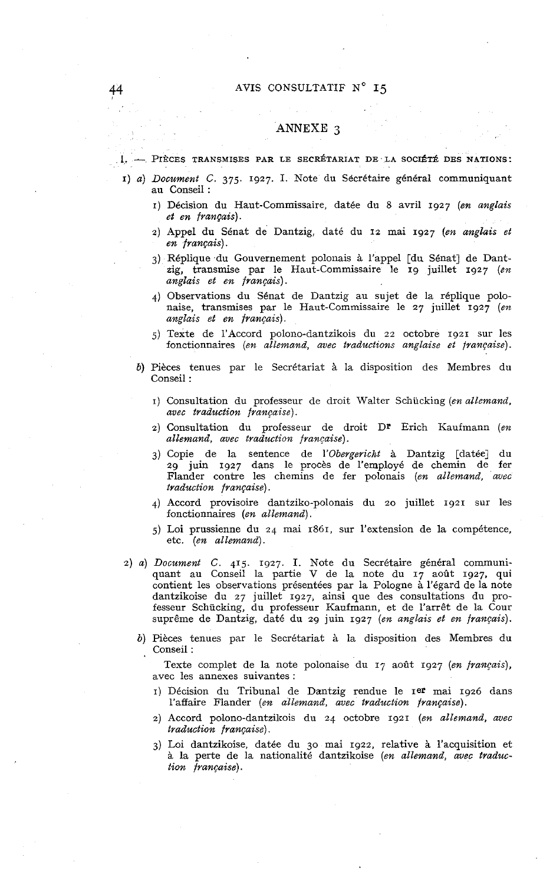## 44 AVIS CONSULTATIF N° 15

# ANNEXE **3**

### **1.** - PIÈCES TRANSMISES PAR LE SECRÉTARIAT DE LA SOCIÉTÉ DES NATIONS:

- *1) a) Document C. 375. 1927.* **1.** Note du Sécrétaire général communiquant au Conseil :
	- *1)* Décision du Haut-Commissaire, datée du 8 avril *1927 (en anglais et en français).*
	- *2)* Appel du Sénat de Dantzig, daté du 12 mai *1927 (en anglais et en français).*
	- *3)* Réplique du Gouvernement polonais à l'appel [du Sénat] de Dantzig, transmise par le Haut-Commissaire le *19* juillet *1927 (en anglais et en français).*
	- 4) Observations du Sénat de Dantzig au sujet de la réplique polonaise, transmises par le Haut-Commissaire le *27* juillet *1927 (en anglais et en français).*
	- j) Texte de l'Accord polono-dantzikois du *22* octobre *1921* sur les fonctionnaires *(en allemand, avec traductions anglaise et française).*
	- *b)* Pièces tenues par le Secrétariat à la disposition des Membres du Conseil :
		- 1) Consultation du professeur de droit Walter Schückiug *(en allemand, avec traduction française).*
		- *2)* Consultation du professeur de droit Dr Erich Kaufmann *(en allemand, avec traduction française)* .
		- *3)* Copie de la sentence de *I'Obergericht* à Dantzig [datée] du *29* juin *1927* dans le procès de l'employé de chemin de fer Fiander contre les chemins de fer polonais *(en allemand, avsc traduction française).*
		- *4)* Accord provisoire dantziko-polonais du 20 juillet *1921* sur les fonctionnaires *(en allemand).*
		- *5)* Loi prussienne du *24* mai *1861,* sur l'extension de la compétence, etc. *(en allemand).*
- *2) a) Document C.* 415. *1927.* **1.** Note du Secrétaire général communiquant au Conseil la partie V de la note du *17* août *1927,* qui contient les observations présentées par la Pologne à l'égard de la note dantzikoise du *27* juillet *1927,* ainsi que des consultations du professeur Schücking, du professeur Kaufmann, et de l'arrêt de la Cour suprême de Dantzig, daté du *29* juin *1927 (en anglais et en français).* 
	- *b)* Pièces tenues par le Secrétariat à la disposition des Membres du Conseil :

Texte complet de la note polonaise du *17* août *1927 (en français),*  avec les annexes suivantes :

- *I)* Décision du Tribunal de Dantzig rendue le *I~P* mai *1926* dans l'affaire Flander *(en allemand, avec traduction française).*
- *2)* Accord polono-dantzikois du *24* octobre *1921 (en allemand, avec traduction française).*
- *3)* Loi dantzikoise, datée du 30 mai *1922,* relative à l'acquisition et à la perte de la nationalité dantzikoise *(en allemand, avec traduction française).*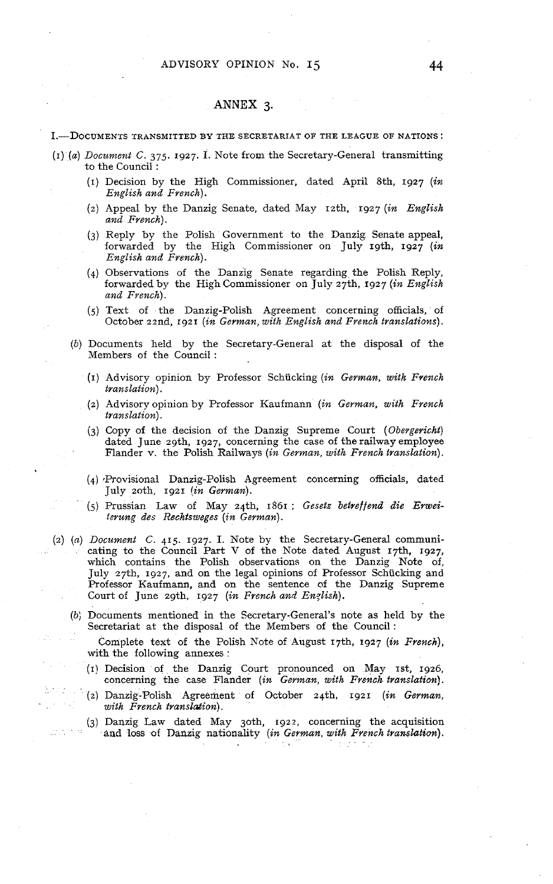## **ANNEX 3.**

#### I.-DOCUMENTS TRANSMITTED BY THE SECRETARIAT OF THE LEAGUE OF NATIONS:

- **(1)** *(a) Docz~ment C. 375.* 1927. **1.** Note from the Secretary-General transmitting to the Council :
	- (1) Decision by the High Commissioner, dated April 8th, 1927 *(in English and French).*
	- (2) Appeal by the Danzig Senate, dated May ~zth, 1927 *(in English and French).*
	- *(3)* Reply by the Polish Government to the Danzig Senate appeal, forwarded by the High Commissioner on July 19th, 1927 (in *English and French).*
	- *(4)* Observations of the Danzig Senate regarding the Polish Reply, forwarded by the High Commissioner on July 27th, 1927 *(in English and French).*
	- *(5)* Text of the Danzig-Polish Agreement concerning officials, of October 22nd, 1921 *(in German, with English and French translations).*
	- *(b)* Documents lield by the Secretary-General at the disposa1 of the Members of the Council :
		- (1) Advisory opinion by Professor Schücking *(in German, with French translation).*
		- (2) Advisory opinion by Professor Kaufmann *(in German, with French translation).*
		- *(3)* Copy of the decision of the Danzig Supreme Court *(Obergericht)*  dated June zgth, 1927, concerning the case of the railway employee Flander v. the Polish Railways *(in German, with French translation).*
		- (4) Provisional Danzig-Polish Agreement concerning officials, dated July 2oth, 1921 *lin German).*
		- (5) Prussian Law of May 24th, 1861 ; *Gesetz betreffend die Erzueiterung des Rechtsweges (in Geman)* .
- (2) *(a) Document* C. **415** 1927. **1.** Note by the Secretary-General communicating to the Council Part V of the Note dated August 17th, 1927, which contains the Polish observations on the Danzig Note of, July 27th, 1927, and on the legal opinions of Professor Schücking and Professor Kaufmann, and on the sentence of the Danzig Supreme Court of June zgth, 1927 *(in French and English).* 
	- *(b;* Documents mentioned in the Secretary-General's note as held by the Secretariat at the disposa1 of the Members of the Council:
		- Complete text of the Polish Note of August 17th, 1927 *(in French),*  with the following annexes :
		- **(1)** Decision of the Danzig Court pronounced on May **~st,** 1926, concerning the case Flander *(in German, with French translation)* .
		- **(2)** Danzig-Polish Agreement of October 24th, 1921 *(in German,*   $with$  French translation).
		- **(3)** Danzig Law dated May 30th. 1922, concerning the acquisition and loss of Daazig nationality *(in German, with French translation).*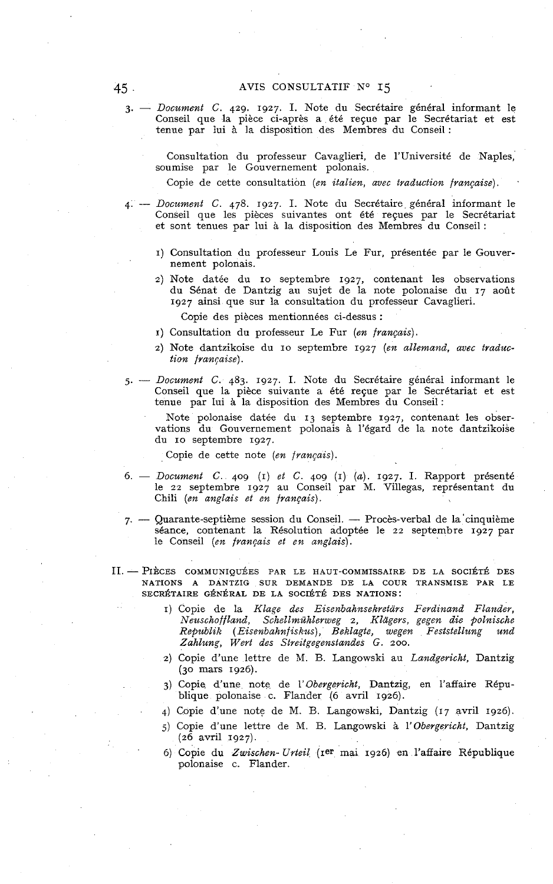*3.* - *Document C. 429. 1927.* **1.** *Note du Secrétaire général informant le*  Conseil que la pièce ci-après a été reçue par le Secrétariat et est *tenue par lui* à *la disposition des Membres du Conseil* :

*Consultation du professeur Cavaglieri, de l'université de Naples, soumise par le Gouvernement polonais.* 

*Copie de cette consultation (en italien, avec traduction française).* 

- *4. Document C. 478. 1927.* 1. *Note du Secrétaire général informant le Conseil que les pièces suivantes ont été reçues par le Secrétariat et sont tenues par lui* à *la disposition des Membres du Conseil* :
	- *1) Consultation du professeur Louis Le Fur, présentée par le Gouvernement polonais.*
	- *2) Note datée du IO septembre 1927, contenant les observations du Sénat de Dantzig au sujet de la note polonaise du 17 août 1927 ainsi que sur la consultation du professeur Cavaglieri.*

*Copie des pièces mentionnées ci-dessus* :

- *1) Consultation du professeur Le Fur (en français).*
- *2) Note dantzikoise du IO septembre 1927 (en allemand, avec traduction française).*
- *5. Document C. 483. 1927.* 1. *Note du Secrétaire général informant le Conseil que la pièce suivante a été reçue par le Secrétariat et est tenue par lui* à *la disposition des Membres du Conseil:*

*Note polonaise datée du 13 septembre 1927, contenant les observations du Gouvernement polonais* à *l'égard de la note dantzikoise du IO septembre 1927.* 

*Copie de cette note (en francais).* 

- *6. Document C. 409 (1) et C. 409 (1) (a). 1927.* **1.** *Rapport présenté le 22 septembre 1927 au Conseil par M. Villegas, représentant du Chili (en anglais et en français).*
- *7. Quarante-septième session du Conseil. Procès-verbal de la'cinquième séance, contenant la Résolution adoptée le 22 septembre 1927 par le Conseil (en français et en anglais).*
- II. PIÈCES COMMUNIQUÉES PAR LE HAUT-COMMISSAIRE DE LA SOCIÉTÉ DES *NATIONS A DANTZIG SUR DEMANDE DE LA COUR TRANSMISE PAR LE*  SECRÉTAIRE GÉNÉRAL DE LA SOCIÉTÉ DES NATIONS:
	- *1) Copie de la Kluge des Eisenbahnsekretars Ferdinand Flander, Neuschoffland, Schellmühlerweg 2, Klagers, gegen die polnische Republik (Eisenbahnfiskus), Beklagte, wegen Feststellung und Zahlung, Wert des Streitgegenstandes G. 200.*
	- *2) Copie d'une lettre de M. B. Langowski au Landgericht, Dantzig (30 mars 1926).*
	- 3) Copie d'une note de l'Obergericht, Dantzig, en l'affaire Répu*blique polonaise c. Flander (6 avril 1926).*
	- *4) Copie d'une note de M. B. Langowski, Dantzig (17 avril 1926).*
	- *j) Copie d'une lettre de M. B. Langowski* à *l'obergericht, Dantzig (26 avril 1927).*
	- *6) Copie du Zwischen- Urteil (~er mai 1926) en l'affaire République polonaise c. Flander.*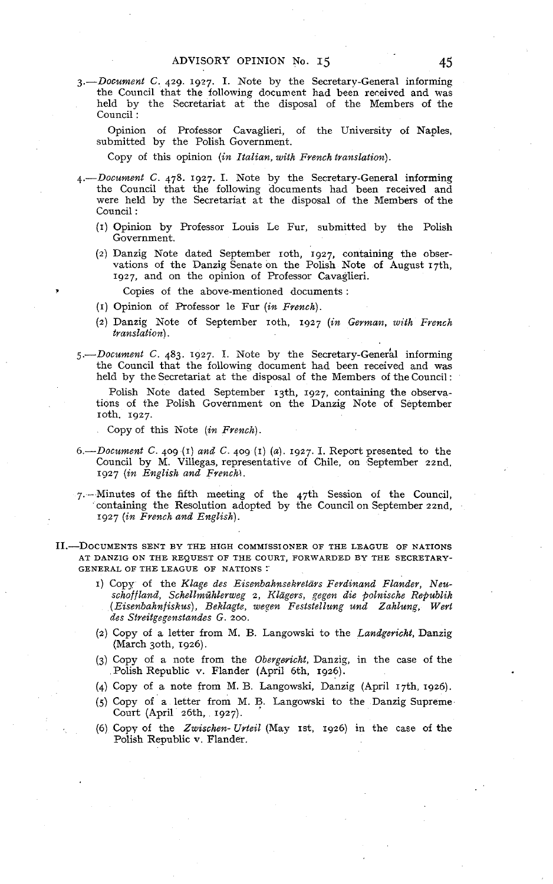3.-Document C. 429. 1927. **1.** Note by the Secretarv-General informing the Council that the following document had been received and was held by the Secretariat at the disposal of the Members of the Council :

Opinion of Professor Cavaglieri, of the University of Naples, submitted by the Polish Government.

Copy of this opinion (in Italian, with French translation).

- 4.-Document C. 478. 1927. I. Note by the Secretary-General informing the Council that the following documents had been received and were held by the Secretariat at the disposa1 of the Members of the Council :
	- (1) Opinion by Professor Louis Le Fur, submitted by the Polish Government.
	- (2) Danzig Note dated September roth, 1927, containing the observations of the Danzig Senate on the Polish Note of August 17th, 1927. and on the opinion of Professor Cavaglieri.

Copies of the above-mentioned documents :

- (1) Opinion of Professor le Fur (in French).
- (2) Danzig Note of September 10th, 1927 (in German, with French translation).
- 5.-Document C. 483. 1927. I. Note by the Secretary-General informing the Council that the following document had been received and was held by the Secretariat at the disposa1 of the Members of the Council :

Polish Note dated September 13th, 1927, containing the observations of the Polish Government on the Danzig Note of September 10th. 1927.

Copy of this Note  $(in$  French.

- 6.--Document C. 409 (1) and C. 409 (1) (a). 1927. I. Report presented to the Council by M. Villegas, representative of Chile, on September 22nd, 1927 (in English and FrencM.
- 7. -Minutes of the fifth meeting of the 47th Session of the Council, containing the Resolution adopted by the Council on September 22nd, 1927 (in French and English).
- II.-DOCUMENTS SENT BY THE HIGH COMMISSIONER OF THE LEAGUE OF NATIONS AT DANZIG ON THE REQUEST OF THE COURT, FORWARDED BY THE SECRETARY-GENERAL OF THE LEAGUE OF NATIONS :'
	- 1) Copy of the Kluge des Eisenbahnsekretars Ferdinand Flander, Neuschoffland, Schellmühlerweg 2, Klägers, gegen die polnische Republik (Eisenbahnfiskus), Beklagte, wegen Feststellung und Zahlung, Wert des Streitgegenstandes G. 200.
	- (2) Copy of a letter from M. B. Langowski to the Landgericht, Danzig (March 3oth, 1926).
	- (3) Copy of a note from the Obergaricht, Danzig, in the case of the Polish Republic v. Flander (April 6th, 1926).
	- (4) Copy of a note from M. B. Langowski, Danzig (April 17th, 1926).
	- (5) Copy of a letter from M. **B.** Langowski to the Danzig Supreme Court (April 26th. 1927).
	- (6) Copy of the Zwischen- Urteil (May  $1st$ , 1926) in the case of the Polish Republic v. Flander.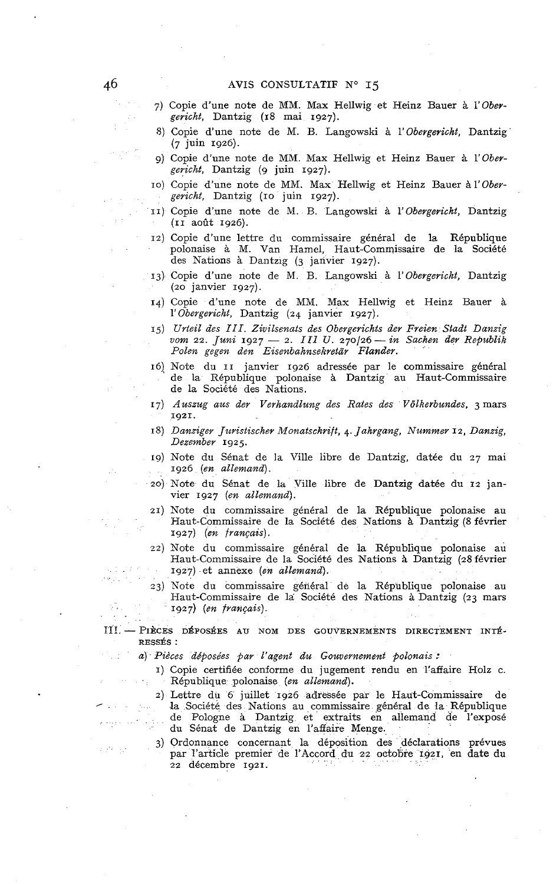- *7)* Copie d'une note de MM. Max Hellwig et Heinz Bauer à *i'Obergericht,* Dantzig *(18* mai *1927).*
- *8)* Copie d'une note de M. B. Langowski à *l'obergericht,* Dantzig *(7* juin *1926).*
- *9)* Copie d'une note de MM. Max Hellwig et Heinz Bauer à *l'Obergericht,* Dantzig *(g* juin *1927).*
- IO) Copie d'une note de MM. Max Hellwig et Heinz Bauer à *1'Obergericht,* Dantzig *(IO* juin *1927).*
- *II)* Copie d'une note de M. B. Langowski à *l'obergericht,* Dantzig *(II* août *1926).*
- *12)* Copie d'une lettre du commissaire général de la République polonaise à M. Van Hamel, Haut-Commissaire de la Société des Nations à Dantzig **(3** janvier *1927).*
- *13)* Copie d'une note de M. B. Langowski à *l'obergericht,* Dantzig *(20* janvier *1927).*
- *14)* Copie d'une note de MM. Max Hellwig et Heinz Bauer à *l'obergericht,* Dantzig *(24* janvier *1927).*
- *15) Urtesl des III. Zzvilsenats des Obergerichts der Freien Stadt Danzig uom 22. Juni 1927 2. III* **U.** *270126-in Sachen der Republik Polen gegen den Eisenbahnsekretar Flander.*
- *16)* Note du *II* janvier *1926* adressée par le commissaire général de la République polonaise à Dantzig au Haut-Commissaire de la Société des Nations.
- 17) Auszug aus der Verhandlung des Rates des Völkerbundes, 3 mars *1921.*
- *18) Danziger Juristischer Monatschrift, 4. Jahrgang, Nummer 12. Danzig, Dezember 1925.*
- *19)* Note du Sénat de la Ville libre de Dantzig, datée du *27* mai *1926 (en allemand).*
- 20) Note du Sénat de la Ville libre de Dantzig datée du *12* janvier *1927 (en allemand).*
- *21)* Note du commissaire général de la République polonaise au Haut-Commissaire de la Société des Nations à Dantzig *(8* février *1927) (en français).*
- *22)* Note *du* commissaire général de la République polonaise au Haut-Commissaire de la Société des Nations à Dantzig *(a8* février *1927)* et annexe *(en allemand).*
- *23)* Note du commissaire général de la République polonaise au Haut-Commissaire de la Société des Nations *A* Dantzig *(23* mars *1927) (en français).*
- II! PIÈCES DÉPOSÉES AU NOM DES GOUVERNEMENTS DIRECTEMENT INTÉ-RESSÉS :
	- *a) Pièces déposées par l'agent du Gouvernement polonais* :
		- *1)* Copie certifiée conforme du jugement rendu en l'affaire Holz c. République polonaise *(en allemand).*
		- 2) Lettre du 6 juillet 1926 adressée par le Haut-Commissaire de la Société des Nations au commissaire général de la République de Pologne à Dantzig et extraits en allemand de l'exposé du Sénat de Dantzig en l'affaire Menge.
		- *3)* Ordonnance concernant la déposition des déclarations prévues par l'article premier de l'Accord du *22* octobre *1921,* en date du *22* décembre *1921.*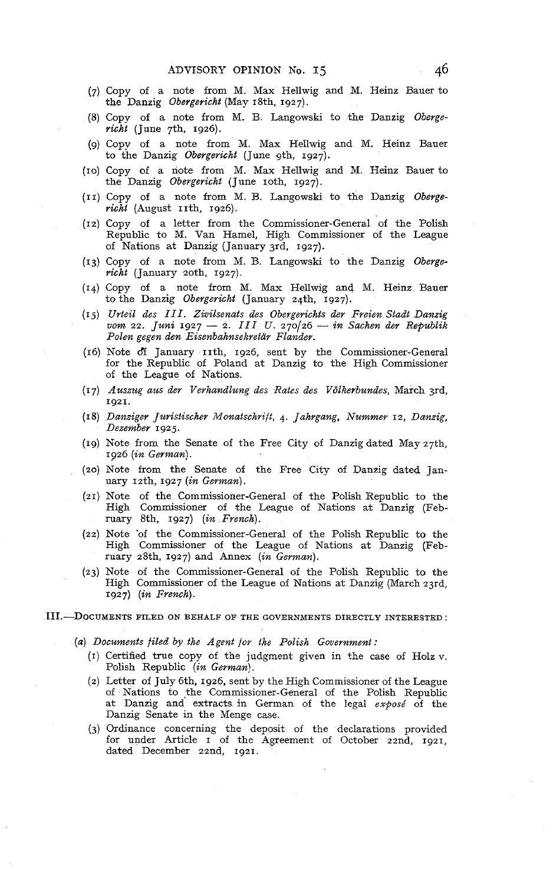- (7) Copy of a note from M. Max Hellwig and M. Heinz Bauer to the Danzig Obergericht (May 18th, 1927).
- (8) Copy of a note from M. B Langowski to the Danzig Oberge $richi$  (June 7th, 1926).
- (9) Copy of a note from M. Max Hellwig and M. Heinz Bauer to the Danzig Obergericht (June gth, 1927).
- (IO) Copy of a note from M. Max Hellwig and M. Heinz Bauer to the Danzig Obergericht (June roth, 1927).
- (II) Copy of a note from M. B. Langowski to the Danzig Oberge $rich$  (August IIth, 1926).
- (12) Copy of a letter from the Commissioner-General of the Polish Republic to M. Van Hamel, High Commissioner of the League of Nations at Danzig (January 3rd. 1927).
- (13) Copy of a note from M. B. Langowski to the Danzig Oberge $richi$  (January 20th, 1927).
- (14) Copy of a note from M. Max Hellwig and M. Heinz Bauer to the Danzig Obergericht (January 24th, 1927).
- (Ij) Urteil des *III.* Zivilsenats des Obergerichts der Freien Stadt Danzig vom 22. Juni 1927 - 2. III U. 270/26 - in Sachen der Republik Polen gegen den Eisenbahnsekretar Flander.
- (16) Note df January th, 1926, sent by the Commissioner-General for the Republic of Poland at Danzig to the High Commissioner of the League of Nations.
- (17) Auszug aus der Verhandlung des Rates des Volkerbundes, March 3rd, 1921.
- (18) Danziger Juristischer Monatschvift, 4. Jahrgang, Nummer 12, Danzig, Dezember 1925.
- (19) Note from the Senate of the Free City of Danzig dated May 27th, 1926 (in German).
- (20) Note from the Senate of the Free City of Danzig dated Jan $uary$   $12th$ ,  $1927$   $(in German)$ .
- (21) Note of the Commissioner-General of the Polish Republic to the High Commissioner of the League of Nations at Danzig (February 8th, 1927) (in French).
- (22) Note of the Commissioner-General of the Polish Republic to the High Commissioner of the League of Nations at Danzig (February 28th, 1927) and Annex (in German).
- (23) Note of the Commissioner-General of the Polish Republic to the High Commissioner of the League of Nations at Danzig (March 23rd, 1927) (in French).
- III. DOCUMENTS FILED ON BEHALF OF THE GOVERNMENTS DIRECTLY INTERESTED:
	- (a) Documents filed by the Agent for the Polish Government :
		- (1) Certified true copy of the judgment given in the case of Holz **v.**  Polish Republic (in German).
		- (2) Letter of July 6th, 1926, sent by the High Commissioner of the League of Nations to the Commissioner-General of the Polish Republic at Danzig and extracts in German of the legal exposé of the Danzig Senate in the Menge case.
		- (3) Ordinance concerning the deposit of the declarations provided for under Article I of the Agreement of October zznd, 1921, dated December 22nd, 1921.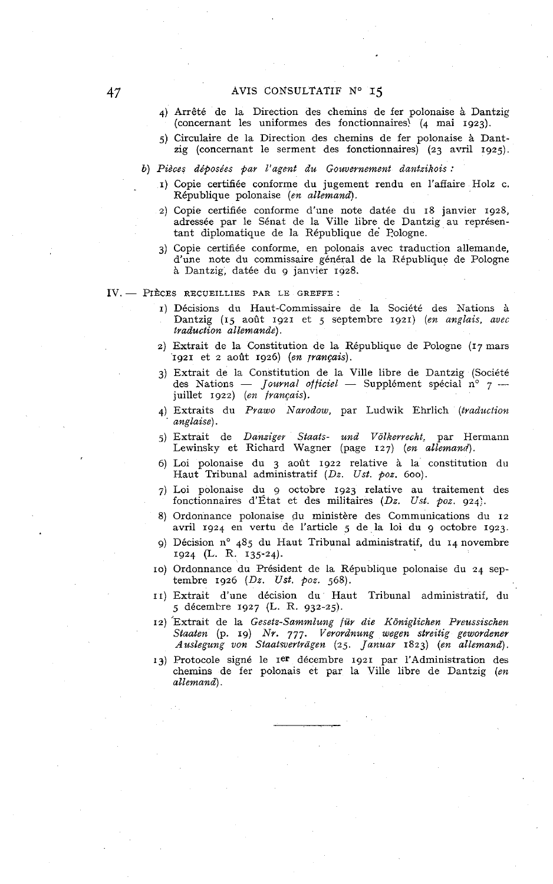## AVIS CONSULTATIF **No 15**

- *4)* Arrêté de la Direction des chemins de fer polonaise à Dantzig (concernant les uniformes des fonctionnaires! *(4* mai *1923).*
- *j)* C,irculaire de la Direction des chemins de fer polonaise **CL** Dantzig (concernant le serment des fonctionnaires) *(23* avril *1925).*

*b) Piéces déposées par L'agent du Gouvernement dantzikois* :

- *1)* Copie certifiée conforme du jugement rendu en l'affaire Holz c. République polonaise *(en allemand).*
- *2)* Copie certifiée conforme d'une note datée du *18* janvier *1928,*  adressée par le Sénat de la Ville libre de Dantzig au représentant diplomatique de la République de' Pologne.
- *3)* Copie certifiée conforme, en polonais avec traduction allemande, d'une note du commissaire général de la République de Pologne à Dantzig, datée du 9 janvier *1928.*

IV. - PIÈCES RECUEILLIES PAR LE GREFFE :

- *1)* Décisions du Haut-Commissaire de la Société des Nations à Dantzig *(15* août *1921* et j septembre *1921) (en anglais, avec traduction allemande).*
- *2)* Extrait de la Constitution de la République de Pologne *(17* mars *1921* et *2* août *1926) (en jrançais).*
- *3)* Extrait de la Constitution de la Ville libre de Dantzig (Société 1921 et 2 août 1926) (*en prançais*).<br>Extrait de la Constitution de la Ville libre de Dantzig (Société des Nations — *Journal officiel* — Supplément spécial n° 7 — juillet 1922) (*en français*).
- 4) Extraits du Prawo Narodow, par Ludwik Ehrlich (traduction ' *anglaise).*
- *5)* Extrait de *Danzigev Staats- und V6lkerrecht:* par Hermann Lewinsky et Richard Wagner (page *127) (en allemand).*
- 6) Loi polonaise du *3* août *1922* relative à *la* constitution du Haut Tribunal administratif *(Dz. Ust. poz.* 600).
- *7)* Loi polonaise du 9 octobre *1923* relative au traitement des fonctionnaires d'État et des militaires *(Dz. Ust. poz. 924;.*
- *8)* Ordonnance polonaise du ministère des Communications du *12*  avril *1924* en vertu de l'article *5* de la loi du *g* octobre *1923.*
- *g)* Décision no *48j* du Haut Tribunal administratif, du *14* novembre *1924* (L. R. *135-24).*
- IO) Ordonnance du Président de la République polonaise du *24* septembre *1926 (Dz. Ust. poz. 568).*
- *II)* Extrait d'une décision du Haut Tribunal administratif, du *5* décembre *1927* (L. R. *932-25).*
- 12) Extrait de la *Gesetz-Sammlung für die Königlichen Preussischen Staaten* **(p.** *19) Nr. 777. Verordnung wegen streitig gewordener*   $A$ uslegung von Staatsverträgen (25. *Januar* 1823) (en allemand).
- *13)* Protocole signé le *Ier* décembre *1921* par l'Administration des chemins de fer polonais et par la Ville libre de Dantzig *(en allemand).*

47